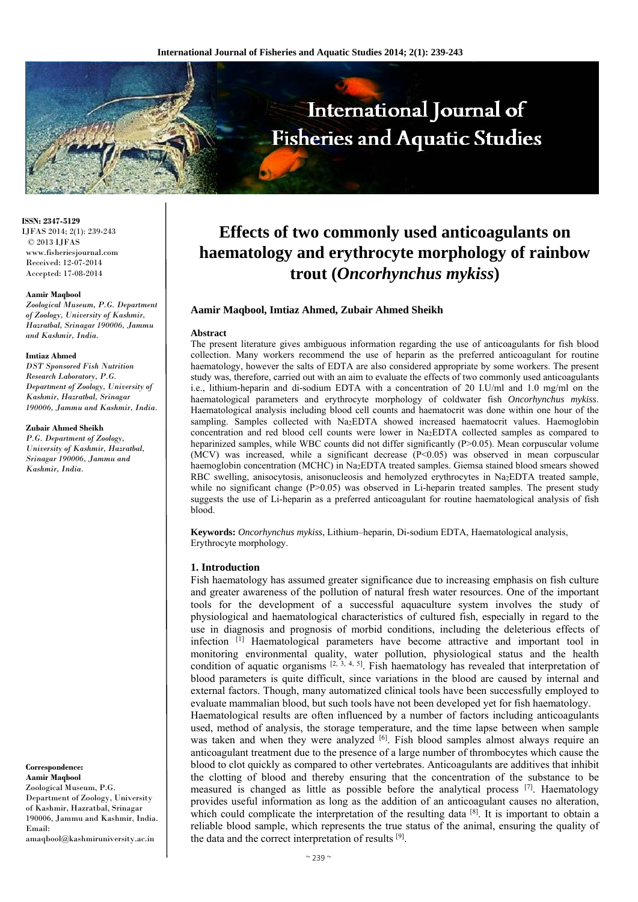

**ISSN: 2347-5129** IJFAS 2014; 2(1): 239-243 © 2013 IJFAS www.fisheriesjournal.com Received: 12-07-2014 Accepted: 17-08-2014

#### **Aamir Maqbool**

*Zoological Museum, P.G. Department of Zoology, University of Kashmir, Hazratbal, Srinagar 190006, Jammu and Kashmir, India.* 

#### **Imtiaz Ahmed**

*DST Sponsored Fish Nutrition Research Laboratory, P.G. Department of Zoology, University of Kashmir, Hazratbal, Srinagar 190006, Jammu and Kashmir, India.* 

#### **Zubair Ahmed Sheikh**

*P.G. Department of Zoology, University of Kashmir, Hazratbal, Srinagar 190006, Jammu and Kashmir, India.* 

#### **Correspondence: Aamir Maqbool**

Zoological Museum, P.G. Department of Zoology, University of Kashmir, Hazratbal, Srinagar 190006, Jammu and Kashmir, India. Email:

amaqbool@kashmiruniversity.ac.in

# **Effects of two commonly used anticoagulants on haematology and erythrocyte morphology of rainbow trout (***Oncorhynchus mykiss***)**

## **Aamir Maqbool, Imtiaz Ahmed, Zubair Ahmed Sheikh**

#### **Abstract**

The present literature gives ambiguous information regarding the use of anticoagulants for fish blood collection. Many workers recommend the use of heparin as the preferred anticoagulant for routine haematology, however the salts of EDTA are also considered appropriate by some workers. The present study was, therefore, carried out with an aim to evaluate the effects of two commonly used anticoagulants i.e., lithium-heparin and di-sodium EDTA with a concentration of 20 I.U/ml and 1.0 mg/ml on the haematological parameters and erythrocyte morphology of coldwater fish *Oncorhynchus mykiss*. Haematological analysis including blood cell counts and haematocrit was done within one hour of the sampling. Samples collected with Na2EDTA showed increased haematocrit values. Haemoglobin concentration and red blood cell counts were lower in Na2EDTA collected samples as compared to heparinized samples, while WBC counts did not differ significantly (P>0.05). Mean corpuscular volume (MCV) was increased, while a significant decrease  $(P<0.05)$  was observed in mean corpuscular haemoglobin concentration (MCHC) in Na2EDTA treated samples. Giemsa stained blood smears showed RBC swelling, anisocytosis, anisonucleosis and hemolyzed erythrocytes in Na2EDTA treated sample, while no significant change (P>0.05) was observed in Li-heparin treated samples. The present study suggests the use of Li-heparin as a preferred anticoagulant for routine haematological analysis of fish blood.

**Keywords:** *Oncorhynchus mykiss*, Lithium–heparin, Di-sodium EDTA, Haematological analysis, Erythrocyte morphology.

### **1. Introduction**

Fish haematology has assumed greater significance due to increasing emphasis on fish culture and greater awareness of the pollution of natural fresh water resources. One of the important tools for the development of a successful aquaculture system involves the study of physiological and haematological characteristics of cultured fish, especially in regard to the use in diagnosis and prognosis of morbid conditions, including the deleterious effects of infection [1] Haematological parameters have become attractive and important tool in monitoring environmental quality, water pollution, physiological status and the health condition of aquatic organisms  $[2, 3, 4, 5]$ . Fish haematology has revealed that interpretation of blood parameters is quite difficult, since variations in the blood are caused by internal and external factors. Though, many automatized clinical tools have been successfully employed to evaluate mammalian blood, but such tools have not been developed yet for fish haematology. Haematological results are often influenced by a number of factors including anticoagulants

used, method of analysis, the storage temperature, and the time lapse between when sample was taken and when they were analyzed [6]. Fish blood samples almost always require an anticoagulant treatment due to the presence of a large number of thrombocytes which cause the blood to clot quickly as compared to other vertebrates. Anticoagulants are additives that inhibit the clotting of blood and thereby ensuring that the concentration of the substance to be measured is changed as little as possible before the analytical process [7]. Haematology provides useful information as long as the addition of an anticoagulant causes no alteration, which could complicate the interpretation of the resulting data [8]. It is important to obtain a reliable blood sample, which represents the true status of the animal, ensuring the quality of the data and the correct interpretation of results [9].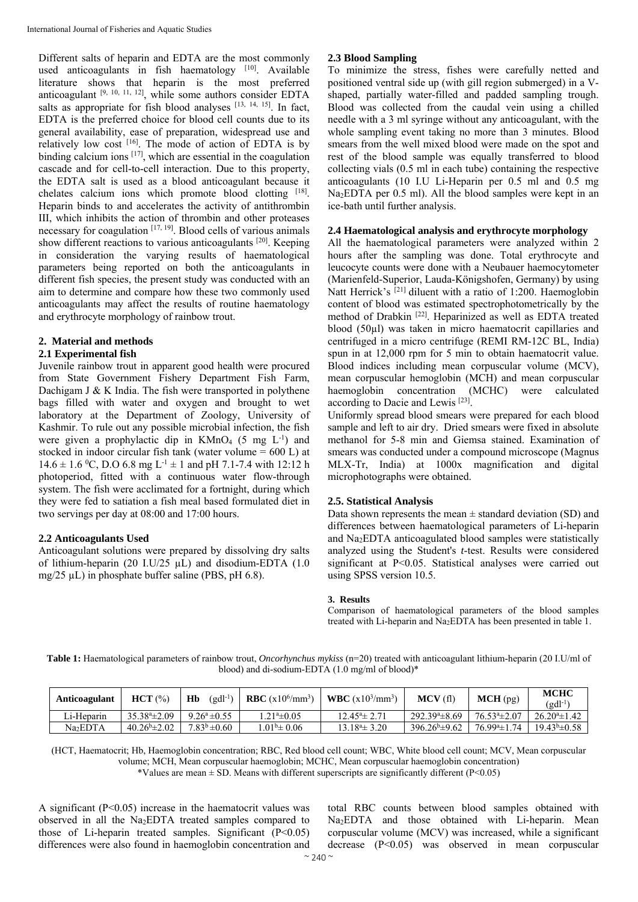Different salts of heparin and EDTA are the most commonly used anticoagulants in fish haematology [10]. Available literature shows that heparin is the most preferred anticoagulant [9, 10, 11, 12], while some authors consider EDTA salts as appropriate for fish blood analyses  $[13, 14, 15]$ . In fact, EDTA is the preferred choice for blood cell counts due to its general availability, ease of preparation, widespread use and relatively low cost [16]. The mode of action of EDTA is by binding calcium ions <sup>[17]</sup>, which are essential in the coagulation cascade and for cell-to-cell interaction. Due to this property, the EDTA salt is used as a blood anticoagulant because it chelates calcium ions which promote blood clotting [18]. Heparin binds to and accelerates the activity of antithrombin III, which inhibits the action of thrombin and other proteases necessary for coagulation  $[17, 19]$ . Blood cells of various animals show different reactions to various anticoagulants [20]. Keeping in consideration the varying results of haematological parameters being reported on both the anticoagulants in different fish species, the present study was conducted with an aim to determine and compare how these two commonly used anticoagulants may affect the results of routine haematology and erythrocyte morphology of rainbow trout.

# **2. Material and methods**

## **2.1 Experimental fish**

Juvenile rainbow trout in apparent good health were procured from State Government Fishery Department Fish Farm, Dachigam J  $&$  K India. The fish were transported in polythene bags filled with water and oxygen and brought to wet laboratory at the Department of Zoology, University of Kashmir. To rule out any possible microbial infection, the fish were given a prophylactic dip in  $KMnO<sub>4</sub>$  (5 mg L<sup>-1</sup>) and stocked in indoor circular fish tank (water volume  $= 600$  L) at  $14.6 \pm 1.6$  °C, D.O 6.8 mg L<sup>-1</sup>  $\pm$  1 and pH 7.1-7.4 with 12:12 h photoperiod, fitted with a continuous water flow-through system. The fish were acclimated for a fortnight, during which they were fed to satiation a fish meal based formulated diet in two servings per day at 08:00 and 17:00 hours.

# **2.2 Anticoagulants Used**

Anticoagulant solutions were prepared by dissolving dry salts of lithium-heparin (20 I.U/25  $\mu$ L) and disodium-EDTA (1.0) mg/25 µL) in phosphate buffer saline (PBS, pH 6.8).

# **2.3 Blood Sampling**

To minimize the stress, fishes were carefully netted and positioned ventral side up (with gill region submerged) in a Vshaped, partially water-filled and padded sampling trough. Blood was collected from the caudal vein using a chilled needle with a 3 ml syringe without any anticoagulant, with the whole sampling event taking no more than 3 minutes. Blood smears from the well mixed blood were made on the spot and rest of the blood sample was equally transferred to blood collecting vials (0.5 ml in each tube) containing the respective anticoagulants (10 I.U Li-Heparin per 0.5 ml and 0.5 mg Na2EDTA per 0.5 ml). All the blood samples were kept in an ice-bath until further analysis.

## **2.4 Haematological analysis and erythrocyte morphology**

All the haematological parameters were analyzed within 2 hours after the sampling was done. Total erythrocyte and leucocyte counts were done with a Neubauer haemocytometer (Marienfeld-Superior, Lauda-Königshofen, Germany) by using Natt Herrick's <sup>[21]</sup> diluent with a ratio of 1:200. Haemoglobin content of blood was estimated spectrophotometrically by the method of Drabkin [22]. Heparinized as well as EDTA treated blood (50µl) was taken in micro haematocrit capillaries and centrifuged in a micro centrifuge (REMI RM-12C BL, India) spun in at 12,000 rpm for 5 min to obtain haematocrit value. Blood indices including mean corpuscular volume (MCV), mean corpuscular hemoglobin (MCH) and mean corpuscular haemoglobin concentration (MCHC) were calculated according to Dacie and Lewis [23].

Uniformly spread blood smears were prepared for each blood sample and left to air dry. Dried smears were fixed in absolute methanol for 5-8 min and Giemsa stained. Examination of smears was conducted under a compound microscope (Magnus MLX-Tr, India) at 1000x magnification and digital microphotographs were obtained.

## **2.5. Statistical Analysis**

Data shown represents the mean  $\pm$  standard deviation (SD) and differences between haematological parameters of Li-heparin and Na2EDTA anticoagulated blood samples were statistically analyzed using the Student's *t*-test. Results were considered significant at P<0.05. Statistical analyses were carried out using SPSS version 10.5.

#### **3. Results**

Comparison of haematological parameters of the blood samples treated with Li-heparin and Na2EDTA has been presented in table 1.

**Table 1:** Haematological parameters of rainbow trout, *Oncorhynchus mykiss* (n=20) treated with anticoagulant lithium-heparin (20 I.U/ml of blood) and di-sodium-EDTA (1.0 mg/ml of blood)\*

| Anticoagulant        | HCT (%)                | $(\mathrm{gdl^{-1}})$<br>Hb | <b>RBC</b> $(x10^6/\text{mm}^3)$ | <b>WBC</b> $(x10^3/\text{mm}^3)$   | MCV(f)              | MCH(pg)                  | <b>MCHC</b><br>$(gdl^{-1})$ |
|----------------------|------------------------|-----------------------------|----------------------------------|------------------------------------|---------------------|--------------------------|-----------------------------|
| Li-Heparin           | $35.384 \pm 2.09$      | $9.26^a \pm 0.55$           | $1.21^{\circ}$ ±0.05             | $12.45^{\circ}$ $\pm 2.71$         | $292.394 \pm 8.69$  | $76.534 \pm 2.07$        | $26.20^{a} \pm 1.42$        |
| Na <sub>2</sub> EDTA | $40.26^{\circ}$ ± 2.02 | $7.83^b \pm 0.60$           | $.01\pm 0.06$                    | $13.18^{\circ}$ $\pm 3.20^{\circ}$ | $396.26^b \pm 9.62$ | 76.99 <sup>a</sup> ±1.74 | $19.43^b \pm 0.58$          |

(HCT, Haematocrit; Hb, Haemoglobin concentration; RBC, Red blood cell count; WBC, White blood cell count; MCV, Mean corpuscular volume; MCH, Mean corpuscular haemoglobin; MCHC, Mean corpuscular haemoglobin concentration)

\*Values are mean  $\pm$  SD. Means with different superscripts are significantly different (P<0.05)

A significant  $(P<0.05)$  increase in the haematocrit values was observed in all the Na2EDTA treated samples compared to those of Li-heparin treated samples. Significant  $(P<0.05)$ differences were also found in haemoglobin concentration and

total RBC counts between blood samples obtained with Na<sub>2</sub>EDTA and those obtained with Li-heparin. Mean corpuscular volume (MCV) was increased, while a significant decrease (P<0.05) was observed in mean corpuscular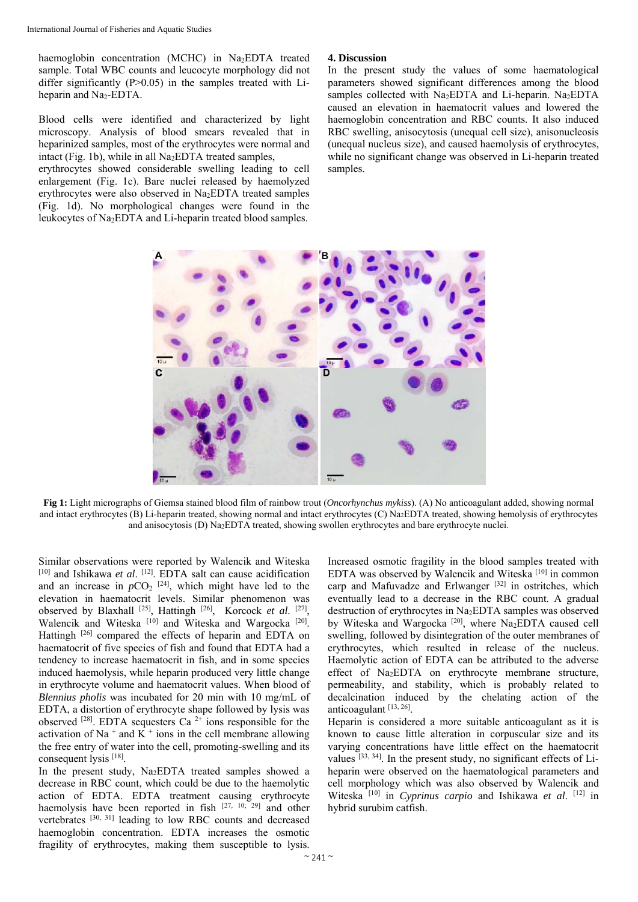haemoglobin concentration (MCHC) in Na<sub>2</sub>EDTA treated sample. Total WBC counts and leucocyte morphology did not differ significantly (P>0.05) in the samples treated with Liheparin and  $Na<sub>2</sub>-EDTA$ .

Blood cells were identified and characterized by light microscopy. Analysis of blood smears revealed that in heparinized samples, most of the erythrocytes were normal and intact (Fig. 1b), while in all Na2EDTA treated samples,

erythrocytes showed considerable swelling leading to cell enlargement (Fig. 1c). Bare nuclei released by haemolyzed erythrocytes were also observed in Na2EDTA treated samples (Fig. 1d). No morphological changes were found in the leukocytes of Na2EDTA and Li-heparin treated blood samples.

## **4. Discussion**

In the present study the values of some haematological parameters showed significant differences among the blood samples collected with  $Na<sub>2</sub>EDTA$  and Li-heparin.  $Na<sub>2</sub>EDTA$ caused an elevation in haematocrit values and lowered the haemoglobin concentration and RBC counts. It also induced RBC swelling, anisocytosis (unequal cell size), anisonucleosis (unequal nucleus size), and caused haemolysis of erythrocytes, while no significant change was observed in Li-heparin treated samples.



**Fig 1:** Light micrographs of Giemsa stained blood film of rainbow trout (*Oncorhynchus mykiss*). (A) No anticoagulant added, showing normal and intact erythrocytes (B) Li-heparin treated, showing normal and intact erythrocytes (C) Na2EDTA treated, showing hemolysis of erythrocytes and anisocytosis (D) Na2EDTA treated, showing swollen erythrocytes and bare erythrocyte nuclei.

Similar observations were reported by Walencik and Witeska [10] and Ishikawa *et al.* [12]. EDTA salt can cause acidification and an increase in  $pCO_2$ <sup>[24]</sup>, which might have led to the elevation in haematocrit levels. Similar phenomenon was observed by Blaxhall [25], Hattingh [26], Korcock *et al*. [27], Walencik and Witeska [10] and Witeska and Wargocka [20]. Hattingh [26] compared the effects of heparin and EDTA on haematocrit of five species of fish and found that EDTA had a tendency to increase haematocrit in fish, and in some species induced haemolysis, while heparin produced very little change in erythrocyte volume and haematocrit values. When blood of *Blennius pholis* was incubated for 20 min with 10 mg/mL of EDTA, a distortion of erythrocyte shape followed by lysis was observed  $[28]$ . EDTA sequesters Ca<sup>2+</sup> ions responsible for the activation of Na<sup>+</sup> and K<sup>+</sup> ions in the cell membrane allowing the free entry of water into the cell, promoting-swelling and its consequent lysis [18].

In the present study, Na2EDTA treated samples showed a decrease in RBC count, which could be due to the haemolytic action of EDTA. EDTA treatment causing erythrocyte haemolysis have been reported in fish  $[27, 10, 29]$  and other vertebrates [30, 31] leading to low RBC counts and decreased haemoglobin concentration. EDTA increases the osmotic fragility of erythrocytes, making them susceptible to lysis.

Increased osmotic fragility in the blood samples treated with EDTA was observed by Walencik and Witeska [10] in common carp and Mafuvadze and Erlwanger  $[32]$  in ostritches, which eventually lead to a decrease in the RBC count. A gradual destruction of erythrocytes in Na<sub>2</sub>EDTA samples was observed by Witeska and Wargocka [20], where Na2EDTA caused cell swelling, followed by disintegration of the outer membranes of erythrocytes, which resulted in release of the nucleus. Haemolytic action of EDTA can be attributed to the adverse effect of Na2EDTA on erythrocyte membrane structure, permeability, and stability, which is probably related to decalcination induced by the chelating action of the anticoagulant [13, 26].

Heparin is considered a more suitable anticoagulant as it is known to cause little alteration in corpuscular size and its varying concentrations have little effect on the haematocrit values [33, 34]. In the present study, no significant effects of Liheparin were observed on the haematological parameters and cell morphology which was also observed by Walencik and Witeska [10] in *Cyprinus carpio* and Ishikawa *et al*. [12] in hybrid surubim catfish.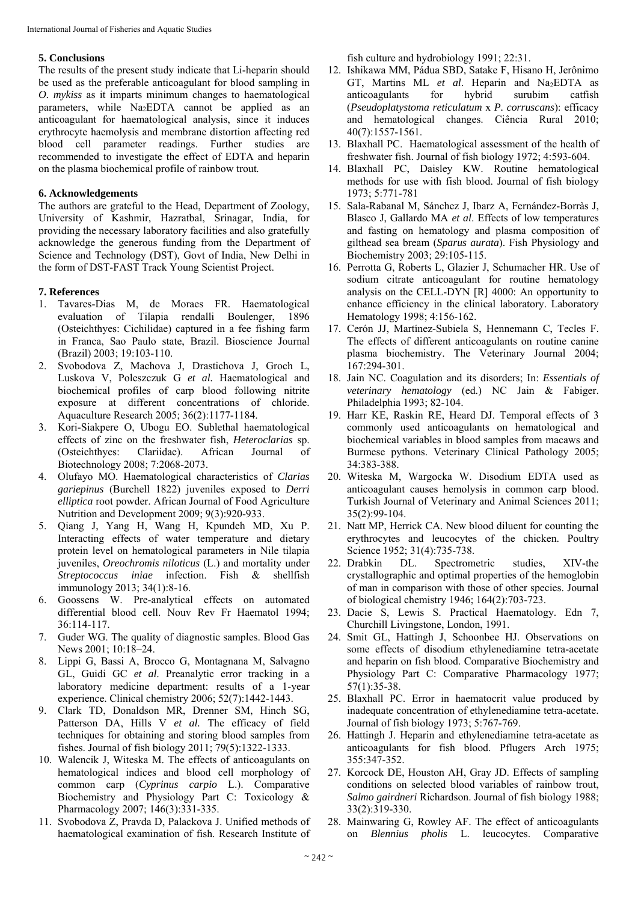# **5. Conclusions**

The results of the present study indicate that Li-heparin should be used as the preferable anticoagulant for blood sampling in *O. mykiss* as it imparts minimum changes to haematological parameters, while Na2EDTA cannot be applied as an anticoagulant for haematological analysis, since it induces erythrocyte haemolysis and membrane distortion affecting red blood cell parameter readings. Further studies are recommended to investigate the effect of EDTA and heparin on the plasma biochemical profile of rainbow trout*.*

# **6. Acknowledgements**

The authors are grateful to the Head, Department of Zoology, University of Kashmir, Hazratbal, Srinagar, India, for providing the necessary laboratory facilities and also gratefully acknowledge the generous funding from the Department of Science and Technology (DST), Govt of India, New Delhi in the form of DST-FAST Track Young Scientist Project.

# **7. References**

- 1. Tavares-Dias M, de Moraes FR. Haematological evaluation of Tilapia rendalli Boulenger, 1896 (Osteichthyes: Cichilidae) captured in a fee fishing farm in Franca, Sao Paulo state, Brazil. Bioscience Journal (Brazil) 2003; 19:103-110.
- 2. Svobodova Z, Machova J, Drastichova J, Groch L, Luskova V, Poleszczuk G *et al.* Haematological and biochemical profiles of carp blood following nitrite exposure at different concentrations of chloride. Aquaculture Research 2005; 36(2):1177-1184.
- 3. Kori-Siakpere O, Ubogu EO. Sublethal haematological effects of zinc on the freshwater fish, *Heteroclarias* sp. (Osteichthyes: Clariidae). African Journal of Biotechnology 2008; 7:2068-2073.
- 4. Olufayo MO. Haematological characteristics of *Clarias gariepinus* (Burchell 1822) juveniles exposed to *Derri elliptica* root powder. African Journal of Food Agriculture Nutrition and Development 2009; 9(3):920-933.
- 5. Qiang J, Yang H, Wang H, Kpundeh MD, Xu P. Interacting effects of water temperature and dietary protein level on hematological parameters in Nile tilapia juveniles, *Oreochromis niloticus* (L.) and mortality under *Streptococcus iniae* infection. Fish & shellfish immunology 2013; 34(1):8-16.
- 6. Goossens W. Pre-analytical effects on automated differential blood cell. Nouv Rev Fr Haematol 1994; 36:114-117.
- 7. Guder WG. The quality of diagnostic samples. Blood Gas News 2001; 10:18–24.
- 8. Lippi G, Bassi A, Brocco G, Montagnana M, Salvagno GL, Guidi GC *et al*. Preanalytic error tracking in a laboratory medicine department: results of a 1-year experience. Clinical chemistry 2006; 52(7):1442-1443.
- 9. Clark TD, Donaldson MR, Drenner SM, Hinch SG, Patterson DA, Hills V et al. The efficacy of field techniques for obtaining and storing blood samples from fishes. Journal of fish biology 2011; 79(5):1322-1333.
- 10. Walencik J, Witeska M. The effects of anticoagulants on hematological indices and blood cell morphology of common carp (*Cyprinus carpio* L.). Comparative Biochemistry and Physiology Part C: Toxicology & Pharmacology 2007; 146(3):331-335.
- 11. Svobodova Z, Pravda D, Palackova J. Unified methods of haematological examination of fish. Research Institute of

fish culture and hydrobiology 1991; 22:31.

- 12. Ishikawa MM, Pádua SBD, Satake F, Hisano H, Jerônimo GT, Martins ML *et al*. Heparin and Na2EDTA as anticoagulants for hybrid surubim catfish (*Pseudoplatystoma reticulatum* x *P. corruscans*): efficacy and hematological changes. Ciência Rural 2010; 40(7):1557-1561.
- 13. Blaxhall PC. Haematological assessment of the health of freshwater fish. Journal of fish biology 1972; 4:593-604.
- 14. Blaxhall PC, Daisley KW. Routine hematological methods for use with fish blood. Journal of fish biology 1973; 5:771-781
- 15. Sala-Rabanal M, Sánchez J, Ibarz A, Fernández-Borràs J, Blasco J, Gallardo MA *et al*. Effects of low temperatures and fasting on hematology and plasma composition of gilthead sea bream (*Sparus aurata*). Fish Physiology and Biochemistry 2003; 29:105-115.
- 16. Perrotta G, Roberts L, Glazier J, Schumacher HR. Use of sodium citrate anticoagulant for routine hematology analysis on the CELL-DYN [R] 4000: An opportunity to enhance efficiency in the clinical laboratory. Laboratory Hematology 1998; 4:156-162.
- 17. Cerón JJ, Martínez-Subiela S, Hennemann C, Tecles F. The effects of different anticoagulants on routine canine plasma biochemistry. The Veterinary Journal 2004; 167:294-301.
- 18. Jain NC. Coagulation and its disorders; In: *Essentials of veterinary hematology* (ed.) NC Jain & Fabiger. Philadelphia 1993; 82-104.
- 19. Harr KE, Raskin RE, Heard DJ. Temporal effects of 3 commonly used anticoagulants on hematological and biochemical variables in blood samples from macaws and Burmese pythons. Veterinary Clinical Pathology 2005; 34:383-388.
- 20. Witeska M, Wargocka W. Disodium EDTA used as anticoagulant causes hemolysis in common carp blood. Turkish Journal of Veterinary and Animal Sciences 2011; 35(2):99-104.
- 21. Natt MP, Herrick CA. New blood diluent for counting the erythrocytes and leucocytes of the chicken. Poultry Science 1952; 31(4):735-738.
- 22. Drabkin DL. Spectrometric studies, XIV-the crystallographic and optimal properties of the hemoglobin of man in comparison with those of other species. Journal of biological chemistry 1946; 164(2):703-723.
- 23. Dacie S, Lewis S. Practical Haematology. Edn 7, Churchill Livingstone, London, 1991.
- 24. Smit GL, Hattingh J, Schoonbee HJ. Observations on some effects of disodium ethylenediamine tetra-acetate and heparin on fish blood. Comparative Biochemistry and Physiology Part C: Comparative Pharmacology 1977; 57(1):35-38.
- 25. Blaxhall PC. Error in haematocrit value produced by inadequate concentration of ethylenediamine tetra-acetate. Journal of fish biology 1973; 5:767-769.
- 26. Hattingh J. Heparin and ethylenediamine tetra-acetate as anticoagulants for fish blood. Pflugers Arch 1975; 355:347-352.
- 27. Korcock DE, Houston AH, Gray JD. Effects of sampling conditions on selected blood variables of rainbow trout, *Salmo gairdneri* Richardson. Journal of fish biology 1988; 33(2):319-330.
- 28. Mainwaring G, Rowley AF. The effect of anticoagulants on *Blennius pholis* L. leucocytes. Comparative